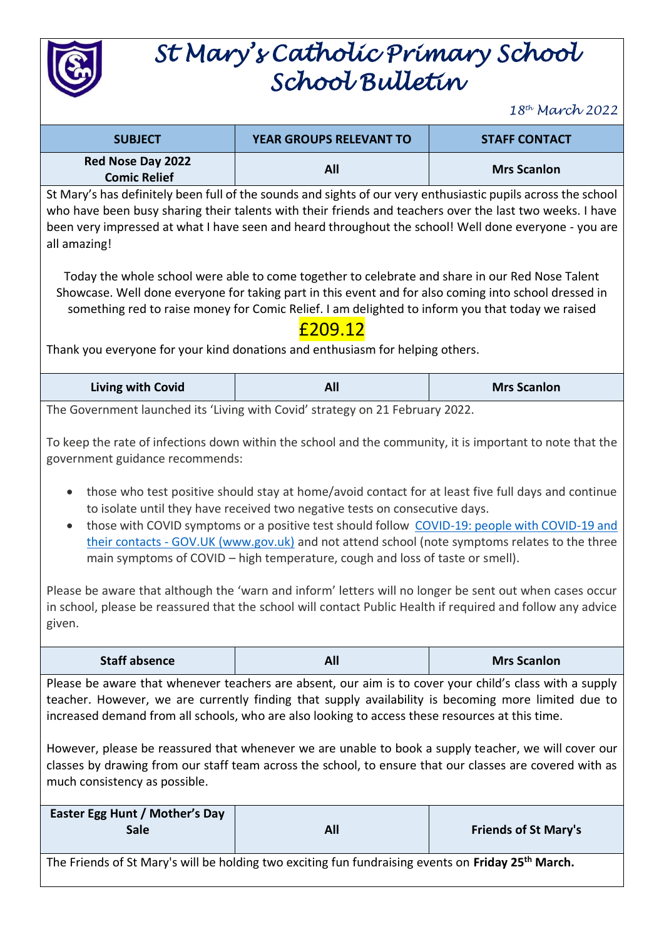

# *St Mary's Catholic Primary School School Bulletin*

*18th March 2022*

| <b>SUBJECT</b>                                  | <b>YEAR GROUPS RELEVANT TO</b> | <b>STAFF CONTACT</b> |
|-------------------------------------------------|--------------------------------|----------------------|
| <b>Red Nose Day 2022</b><br><b>Comic Relief</b> | All                            | <b>Mrs Scanlon</b>   |

St Mary's has definitely been full of the sounds and sights of our very enthusiastic pupils across the school who have been busy sharing their talents with their friends and teachers over the last two weeks. I have been very impressed at what I have seen and heard throughout the school! Well done everyone - you are all amazing!

Today the whole school were able to come together to celebrate and share in our Red Nose Talent Showcase. Well done everyone for taking part in this event and for also coming into school dressed in something red to raise money for Comic Relief. I am delighted to inform you that today we raised

#### £209.12

Thank you everyone for your kind donations and enthusiasm for helping others.

| <b>All</b><br>Living with Covid<br><b>Mrs Scanlon</b> |  |
|-------------------------------------------------------|--|
|-------------------------------------------------------|--|

The Government launched its 'Living with Covid' strategy on 21 February 2022.

To keep the rate of infections down within the school and the community, it is important to note that the government guidance recommends:

- those who test positive should stay at home/avoid contact for at least five full days and continue to isolate until they have received two negative tests on consecutive days.
- those with COVID symptoms or a positive test should follow [COVID-19: people with COVID-19 and](https://www.gov.uk/government/publications/covid-19-people-with-covid-19-and-their-contacts)  their contacts - [GOV.UK \(www.gov.uk\)](https://www.gov.uk/government/publications/covid-19-people-with-covid-19-and-their-contacts) and not attend school (note symptoms relates to the three main symptoms of COVID – high temperature, cough and loss of taste or smell).

Please be aware that although the 'warn and inform' letters will no longer be sent out when cases occur in school, please be reassured that the school will contact Public Health if required and follow any advice given.

| <b>Staff absence</b> | <b>All</b><br>- --- | <b>Mrs Scanlon</b> |
|----------------------|---------------------|--------------------|
|                      |                     |                    |

Please be aware that whenever teachers are absent, our aim is to cover your child's class with a supply teacher. However, we are currently finding that supply availability is becoming more limited due to increased demand from all schools, who are also looking to access these resources at this time.

However, please be reassured that whenever we are unable to book a supply teacher, we will cover our classes by drawing from our staff team across the school, to ensure that our classes are covered with as much consistency as possible.

| Easter Egg Hunt / Mother's Day<br><b>Sale</b>                                                                   | All | <b>Friends of St Mary's</b>                                                                                     |
|-----------------------------------------------------------------------------------------------------------------|-----|-----------------------------------------------------------------------------------------------------------------|
| the contract of the contract of the contract of the contract of the contract of the contract of the contract of | .   | the contract of the contract of the contract of the contract of the contract of the contract of the contract of |

The Friends of St Mary's will be holding two exciting fun fundraising events on **Friday 25th March.**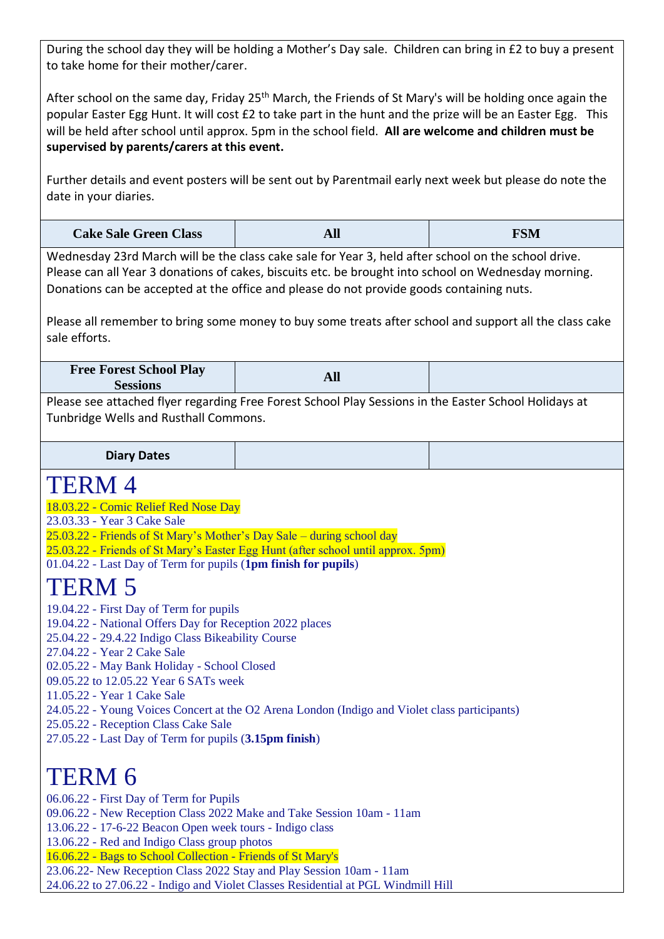During the school day they will be holding a Mother's Day sale. Children can bring in £2 to buy a present to take home for their mother/carer.

After school on the same day, Friday 25<sup>th</sup> March, the Friends of St Mary's will be holding once again the popular Easter Egg Hunt. It will cost £2 to take part in the hunt and the prize will be an Easter Egg. This will be held after school until approx. 5pm in the school field. **All are welcome and children must be supervised by parents/carers at this event.** 

Further details and event posters will be sent out by Parentmail early next week but please do note the date in your diaries.

| <b>Cake Sale Green Class</b> | All | <b>FSM</b> |
|------------------------------|-----|------------|
|------------------------------|-----|------------|

Wednesday 23rd March will be the class cake sale for Year 3, held after school on the school drive. Please can all Year 3 donations of cakes, biscuits etc. be brought into school on Wednesday morning. Donations can be accepted at the office and please do not provide goods containing nuts.

Please all remember to bring some money to buy some treats after school and support all the class cake sale efforts.

| <b>Free Forest School Play</b><br>Sessions                                                            |  |  |
|-------------------------------------------------------------------------------------------------------|--|--|
| Dlogen see attached flyer regarding Eres Farest Cebaal Dlou Cessions in the Faster Cebaal Halidays at |  |  |

Please see attached flyer regarding Free Forest School Play Sessions in the Easter School Holidays at Tunbridge Wells and Rusthall Commons.

**Diary Dates**

#### TERM 4

- 18.03.22 Comic Relief Red Nose Day
- 23.03.33 Year 3 Cake Sale
- 25.03.22 Friends of St Mary's Mother's Day Sale during school day
- 25.03.22 Friends of St Mary's Easter Egg Hunt (after school until approx. 5pm)
- 01.04.22 Last Day of Term for pupils (**1pm finish for pupils**)

### TERM 5

- 19.04.22 First Day of Term for pupils
- 19.04.22 National Offers Day for Reception 2022 places
- 25.04.22 29.4.22 Indigo Class Bikeability Course
- 27.04.22 Year 2 Cake Sale
- 02.05.22 May Bank Holiday School Closed
- 09.05.22 to 12.05.22 Year 6 SATs week
- 11.05.22 Year 1 Cake Sale
- 24.05.22 Young Voices Concert at the O2 Arena London (Indigo and Violet class participants)
- 25.05.22 Reception Class Cake Sale
- 27.05.22 Last Day of Term for pupils (**3.15pm finish**)

## TERM 6

06.06.22 - First Day of Term for Pupils 09.06.22 - New Reception Class 2022 Make and Take Session 10am - 11am 13.06.22 - 17-6-22 Beacon Open week tours - Indigo class 13.06.22 - Red and Indigo Class group photos 16.06.22 - Bags to School Collection - Friends of St Mary's 23.06.22- New Reception Class 2022 Stay and Play Session 10am - 11am 24.06.22 to 27.06.22 - Indigo and Violet Classes Residential at PGL Windmill Hill